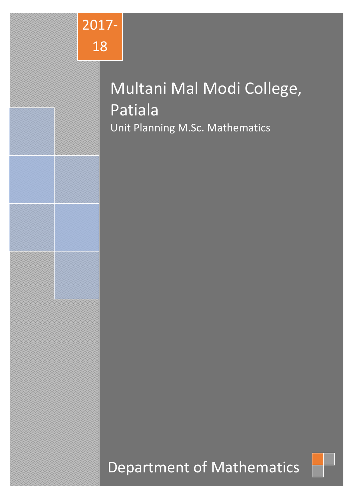

# Multani Mal Modi College, Patiala Unit Planning M.Sc. Mathematics

# Department of Mathematics

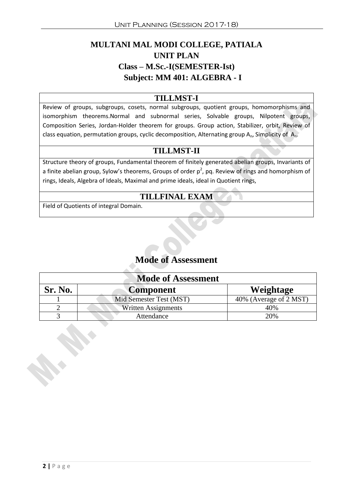# **MULTANI MAL MODI COLLEGE, PATIALA UNIT PLAN Class – M.Sc.-I(SEMESTER-Ist) Subject: MM 401: ALGEBRA - I**

#### **TILLMST-I**

Review of groups, subgroups, cosets, normal subgroups, quotient groups, homomorphisms and isomorphism theorems.Normal and subnormal series, Solvable groups, Nilpotent groups, Composition Series, Jordan-Holder theorem for groups. Group action, Stabilizer, orbit, Review of class equation, permutation groups, cyclic decomposition, Alternating group A<sub>n</sub>, Simplicity of A<sub>n</sub>.

### **TILLMST-II**

Structure theory of groups, Fundamental theorem of finitely generated abelian groups, Invariants of a finite abelian group, Sylow's theorems, Groups of order  $p^2$ , pq. Review of rings and homorphism of rings, Ideals, Algebra of Ideals, Maximal and prime ideals, ideal in Quotient rings,

#### **TILLFINAL EXAM**

Field of Quotients of integral Domain.

| <b>Mode of Assessment</b> |                         |                        |  |
|---------------------------|-------------------------|------------------------|--|
| Sr. No.                   | <b>Component</b>        | Weightage              |  |
|                           | Mid Semester Test (MST) | 40% (Average of 2 MST) |  |
|                           | Written Assignments     | 40%                    |  |
|                           | Attendance              | 20%                    |  |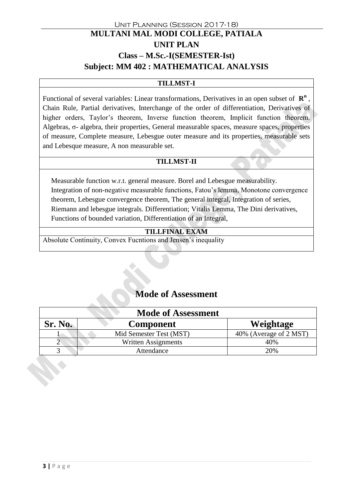# Unit Planning (Session 2017-18) **MULTANI MAL MODI COLLEGE, PATIALA UNIT PLAN Class – M.Sc.-I(SEMESTER-Ist) Subject: MM 402 : MATHEMATICAL ANALYSIS**

#### **TILLMST-I**

Functional of several variables: Linear transformations, Derivatives in an open subset of **R n** , Chain Rule, Partial derivatives, Interchange of the order of differentiation, Derivatives of higher orders, Taylor's theorem, Inverse function theorem, Implicit function theorem. Algebras, σ- algebra, their properties, General measurable spaces, measure spaces, properties of measure, Complete measure, Lebesgue outer measure and its properties, measurable sets and Lebesque measure, A non measurable set.

#### **TILLMST-II**

Measurable function w.r.t. general measure. Borel and Lebesgue measurability. Integration of non-negative measurable functions, Fatou's lemma, Monotone convergence theorem, Lebesgue convergence theorem, The general integral, Integration of series, Riemann and lebesgue integrals. Differentiation; Vitalis Lemma, The Dini derivatives, Functions of bounded variation, Differentiation of an Integral,

#### **TILLFINAL EXAM**

Absolute Continuity, Convex Fucntions and Jensen's inequality

| <b>Mode of Assessment</b> |                         |                        |  |
|---------------------------|-------------------------|------------------------|--|
| Sr. No.                   | <b>Component</b>        | Weightage              |  |
|                           | Mid Semester Test (MST) | 40% (Average of 2 MST) |  |
|                           | Written Assignments     | 40%                    |  |
|                           | Attendance              | 20%                    |  |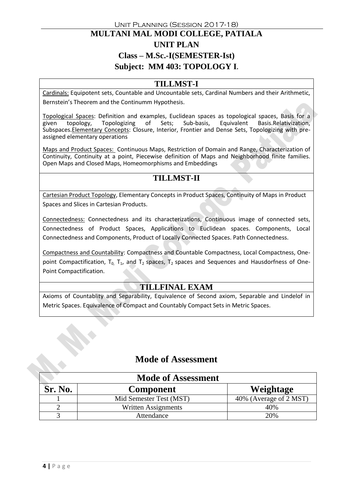# Unit Planning (Session 2017-18) **MULTANI MAL MODI COLLEGE, PATIALA UNIT PLAN Class – M.Sc.-I(SEMESTER-Ist) Subject: MM 403: TOPOLOGY I.**

#### **TILLMST-I**

Cardinals: Equipotent sets, Countable and Uncountable sets, Cardinal Numbers and their Arithmetic, Bernstein's Theorem and the Continumm Hypothesis.

Topological Spaces: Definition and examples, Euclidean spaces as topological spaces, Basis for a given topology, Topologizing of Sets; Sub-basis, Equivalent Basis.Relativization, Topologizing of Sets: Sub-basis, Equivalent Basis.Relativization, Subspaces.Elementary Concepts: Closure, Interior, Frontier and Dense Sets, Topologizing with preassigned elementary operations

Maps and Product Spaces: Continuous Maps, Restriction of Domain and Range, Characterization of Continuity, Continuity at a point, Piecewise definition of Maps and Neighborhood finite families. Open Maps and Closed Maps, Homeomorphisms and Embeddings

# **TILLMST-II**

Cartesian Product Topology, Elementary Concepts in Product Spaces, Continuity of Maps in Product Spaces and Slices in Cartesian Products.

Connectedness: Connectedness and its characterizations, Continuous image of connected sets, Connectedness of Product Spaces, Applications to Euclidean spaces. Components, Local Connectedness and Components, Product of Locally Connected Spaces. Path Connectedness.

Compactness and Countability: Compactness and Countable Compactness, Local Compactness, Onepoint Compactification,  $T_0$ ,  $T_1$ , and  $T_2$  spaces,  $T_2$  spaces and Sequences and Hausdorfness of One-Point Compactification.

#### **TILLFINAL EXAM**

Axioms of Countablity and Separability, Equivalence of Second axiom, Separable and Lindelof in Metric Spaces. Equivalence of Compact and Countably Compact Sets in Metric Spaces.

|         | <b>Mode of Assessment</b> |                        |
|---------|---------------------------|------------------------|
| Sr. No. | <b>Component</b>          | Weightage              |
|         | Mid Semester Test (MST)   | 40% (Average of 2 MST) |
|         | Written Assignments       | 40%                    |
|         | Attendance                | 20%                    |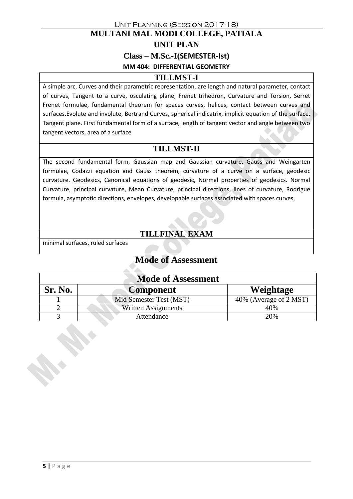# Unit Planning (Session 2017-18) **MULTANI MAL MODI COLLEGE, PATIALA UNIT PLAN Class – M.Sc.-I(SEMESTER-Ist) MM 404: DIFFERENTIAL GEOMETRY**

#### **TILLMST-I**

A simple arc, Curves and their parametric representation, are length and natural parameter, contact of curves, Tangent to a curve, osculating plane, Frenet trihedron, Curvature and Torsion, Serret Frenet formulae, fundamental theorem for spaces curves, helices, contact between curves and surfaces.Evolute and involute, Bertrand Curves, spherical indicatrix, implicit equation of the surface, Tangent plane. First fundamental form of a surface, length of tangent vector and angle between two tangent vectors, area of a surface

# **TILLMST-II**

The second fundamental form, Gaussian map and Gaussian curvature, Gauss and Weingarten formulae, Codazzi equation and Gauss theorem, curvature of a curve on a surface, geodesic curvature. Geodesics, Canonical equations of geodesic, Normal properties of geodesics. Normal Curvature, principal curvature, Mean Curvature, principal directions, lines of curvature, Rodrigue formula, asymptotic directions, envelopes, developable surfaces associated with spaces curves,

# **TILLFINAL EXAM**

minimal surfaces, ruled surfaces

| <b>Mode of Assessment</b> |                         |                        |  |
|---------------------------|-------------------------|------------------------|--|
| Sr. No.                   | Component               | Weightage              |  |
|                           | Mid Semester Test (MST) | 40% (Average of 2 MST) |  |
|                           | Written Assignments     | 40%                    |  |
|                           | Attendance              | 20%                    |  |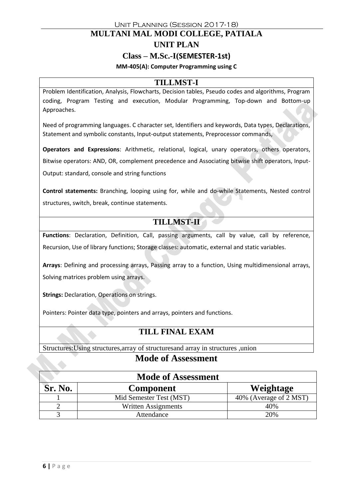## Unit Planning (Session 2017-18) **MULTANI MAL MODI COLLEGE, PATIALA UNIT PLAN Class – M.Sc.-I(SEMESTER-1st) MM-405(A): Computer Programming using C**

#### **TILLMST-I**

Problem Identification, Analysis, Flowcharts, Decision tables, Pseudo codes and algorithms, Program coding, Program Testing and execution, Modular Programming, Top-down and Bottom-up Approaches.

Need of programming languages. C character set, Identifiers and keywords, Data types, Declarations, Statement and symbolic constants, Input-output statements, Preprocessor commands,

**Operators and Expressions**: Arithmetic, relational, logical, unary operators, others operators, Bitwise operators: AND, OR, complement precedence and Associating bitwise shift operators, Input-Output: standard, console and string functions

**Control statements:** Branching, looping using for, while and do-while Statements, Nested control structures, switch, break, continue statements.

# **TILLMST-II**

**Functions**: Declaration, Definition, Call, passing arguments, call by value, call by reference, Recursion, Use of library functions; Storage classes: automatic, external and static variables.

**Arrays**: Defining and processing arrays, Passing array to a function, Using multidimensional arrays, Solving matrices problem using arrays.

**Strings:** Declaration, Operations on strings.

Pointers: Pointer data type, pointers and arrays, pointers and functions.

## **TILL FINAL EXAM**

Structures:Using structures,array of structuresand array in structures ,union

|         | <b>Mode of Assessment</b> |                        |
|---------|---------------------------|------------------------|
| Sr. No. | <b>Component</b>          | Weightage              |
|         | Mid Semester Test (MST)   | 40% (Average of 2 MST) |
|         | Written Assignments       | 40%                    |
|         | Attendance                | 20%                    |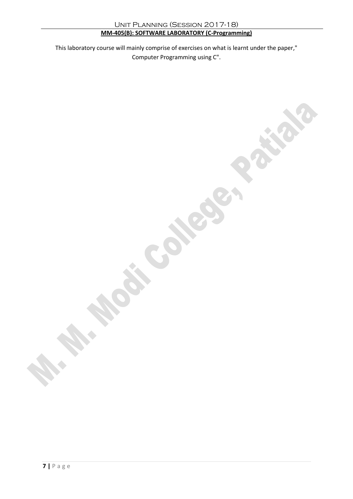This laboratory course will mainly comprise of exercises on what is learnt under the paper," Computer Programming using C".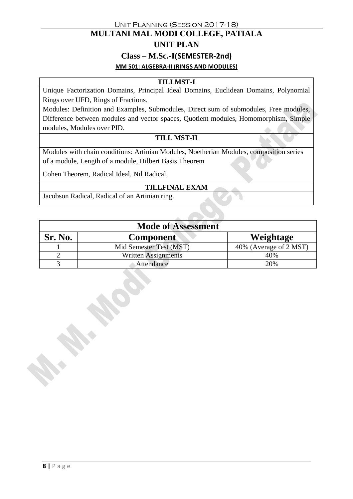## Unit Planning (Session 2017-18) **MULTANI MAL MODI COLLEGE, PATIALA UNIT PLAN Class – M.Sc.-I(SEMESTER-2nd) MM 501: ALGEBRA-II (RINGS AND MODULES)**

#### **TILLMST-I**

Unique Factorization Domains, Principal Ideal Domains, Euclidean Domains, Polynomial Rings over UFD, Rings of Fractions.

Modules: Definition and Examples, Submodules, Direct sum of submodules, Free modules, Difference between modules and vector spaces, Quotient modules, Homomorphism, Simple modules, Modules over PID.

#### **TILL MST-II**

Modules with chain conditions: Artinian Modules, Noetherian Modules, composition series of a module, Length of a module, Hilbert Basis Theorem

Cohen Theorem, Radical Ideal, Nil Radical,

#### **TILLFINAL EXAM**

Jacobson Radical, Radical of an Artinian ring.

| <b>Mode of Assessment</b> |                            |                        |  |
|---------------------------|----------------------------|------------------------|--|
| Sr. No.                   | <b>Component</b>           | Weightage              |  |
|                           | Mid Semester Test (MST)    | 40% (Average of 2 MST) |  |
|                           | <b>Written Assignments</b> | 40%                    |  |
|                           | Attendance                 | 20%                    |  |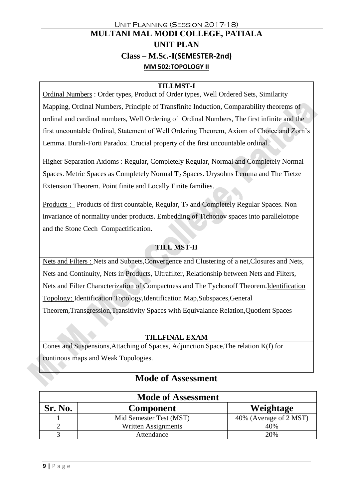# Unit Planning (Session 2017-18) **MULTANI MAL MODI COLLEGE, PATIALA UNIT PLAN Class – M.Sc.-I(SEMESTER-2nd) MM 502:TOPOLOGY II**

#### **TILLMST-I**

Ordinal Numbers : Order types, Product of Order types, Well Ordered Sets, Similarity Mapping, Ordinal Numbers, Principle of Transfinite Induction, Comparability theorems of ordinal and cardinal numbers, Well Ordering of Ordinal Numbers, The first infinite and the first uncountable Ordinal, Statement of Well Ordering Theorem, Axiom of Choice and Zorn's Lemma. Burali-Forti Paradox. Crucial property of the first uncountable ordinal.

Higher Separation Axioms : Regular, Completely Regular, Normal and Completely Normal Spaces. Metric Spaces as Completely Normal  $T_2$  Spaces. Urysohns Lemma and The Tietze Extension Theorem. Point finite and Locally Finite families.

Products : Products of first countable, Regular,  $T_2$  and Completely Regular Spaces. Non invariance of normality under products. Embedding of Tichonov spaces into parallelotope and the Stone Cech Compactification.

#### **TILL MST-II**

Nets and Filters : Nets and Subnets,Convergence and Clustering of a net,Closures and Nets, Nets and Continuity, Nets in Products, Ultrafilter, Relationship between Nets and Filters, Nets and Filter Characterization of Compactness and The Tychonoff Theorem.Identification Topology: Identification Topology,Identification Map,Subspaces,General Theorem,Transgression,Transitivity Spaces with Equivalance Relation,Quotient Spaces

#### **TILLFINAL EXAM**

Cones and Suspensions,Attaching of Spaces, Adjunction Space,The relation K(f) for continous maps and Weak Topologies.

| <b>Mode of Assessment</b> |                         |                        |  |
|---------------------------|-------------------------|------------------------|--|
| Sr. No.                   | <b>Component</b>        | Weightage              |  |
|                           | Mid Semester Test (MST) | 40% (Average of 2 MST) |  |
|                           | Written Assignments     | 40%                    |  |
|                           | Attendance              | 20%                    |  |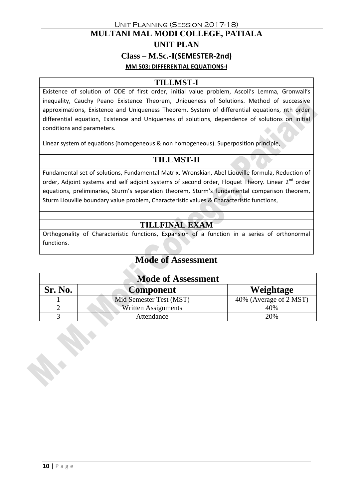# Unit Planning (Session 2017-18) **MULTANI MAL MODI COLLEGE, PATIALA UNIT PLAN Class – M.Sc.-I(SEMESTER-2nd) MM 503: DIFFERENTIAL EQUATIONS-I**

#### **TILLMST-I**

Existence of solution of ODE of first order, initial value problem, Ascoli's Lemma, Gronwall's inequality, Cauchy Peano Existence Theorem, Uniqueness of Solutions. Method of successive approximations, Existence and Uniqueness Theorem. System of differential equations, nth order differential equation, Existence and Uniqueness of solutions, dependence of solutions on initial conditions and parameters.

Linear system of equations (homogeneous & non homogeneous). Superposition principle,

# **TILLMST-II**

Fundamental set of solutions, Fundamental Matrix, Wronskian, Abel Liouville formula, Reduction of order, Adjoint systems and self adjoint systems of second order, Floquet Theory. Linear 2<sup>nd</sup> order equations, preliminaries, Sturm's separation theorem, Sturm's fundamental comparison theorem, Sturm Liouville boundary value problem, Characteristic values & Characteristic functions,

# **TILLFINAL EXAM**

Orthogonality of Characteristic functions, Expansion of a function in a series of orthonormal functions.

| <b>Mode of Assessment</b> |                         |                        |  |
|---------------------------|-------------------------|------------------------|--|
| Sr. No.                   | <b>Component</b>        | Weightage              |  |
|                           | Mid Semester Test (MST) | 40% (Average of 2 MST) |  |
|                           | Written Assignments     | 40%                    |  |
|                           | Attendance              | 20%                    |  |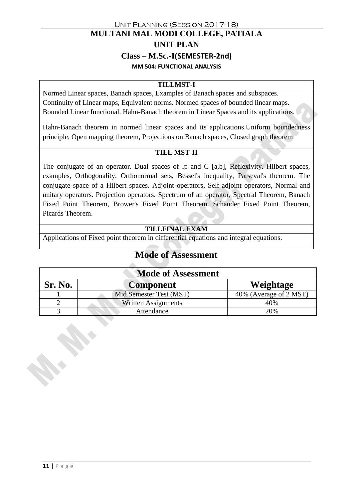# Unit Planning (Session 2017-18) **MULTANI MAL MODI COLLEGE, PATIALA UNIT PLAN Class – M.Sc.-I(SEMESTER-2nd) MM 504: FUNCTIONAL ANALYSIS**

#### **TILLMST-I**

Normed Linear spaces, Banach spaces, Examples of Banach spaces and subspaces. Continuity of Linear maps, Equivalent norms. Normed spaces of bounded linear maps. Bounded Linear functional. Hahn-Banach theorem in Linear Spaces and its applications.

Hahn-Banach theorem in normed linear spaces and its applications.Uniform boundedness principle, Open mapping theorem, Projections on Banach spaces, Closed graph theorem

#### **TILL MST-II**

The conjugate of an operator. Dual spaces of lp and C [a,b], Reflexivity. Hilbert spaces, examples, Orthogonality, Orthonormal sets, Bessel's inequality, Parseval's theorem. The conjugate space of a Hilbert spaces. Adjoint operators, Self-adjoint operators, Normal and unitary operators. Projection operators. Spectrum of an operator, Spectral Theorem, Banach Fixed Point Theorem, Brower's Fixed Point Theorem. Schauder Fixed Point Theorem, Picards Theorem.

#### **TILLFINAL EXAM**

Applications of Fixed point theorem in differential equations and integral equations.

 $\triangle$ 

| <b>Mode of Assessment</b> |                            |                        |  |
|---------------------------|----------------------------|------------------------|--|
| Sr. No.                   | <b>Component</b>           | Weightage              |  |
|                           | Mid Semester Test (MST)    | 40% (Average of 2 MST) |  |
|                           | <b>Written Assignments</b> | 40%                    |  |
|                           | Attendance                 | 20%                    |  |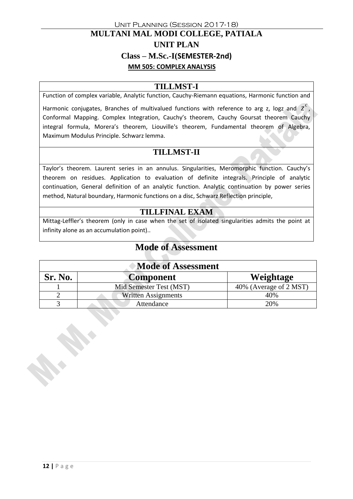# Unit Planning (Session 2017-18) **MULTANI MAL MODI COLLEGE, PATIALA UNIT PLAN Class – M.Sc.-I(SEMESTER-2nd) MM 505: COMPLEX ANALYSIS**

#### **TILLMST-I**

Function of complex variable, Analytic function, Cauchy-Riemann equations, Harmonic function and

Harmonic conjugates, Branches of multivalued functions with reference to arg z, logz and  $z^c$ , Conformal Mapping. Complex Integration, Cauchy's theorem, Cauchy Goursat theorem Cauchy integral formula, Morera's theorem, Liouville's theorem, Fundamental theorem of Algebra, Maximum Modulus Principle. Schwarz lemma.

# **TILLMST-II**

Taylor's theorem. Laurent series in an annulus. Singularities, Meromorphic function. Cauchy's theorem on residues. Application to evaluation of definite integrals. Principle of analytic continuation, General definition of an analytic function. Analytic continuation by power series method, Natural boundary, Harmonic functions on a disc, Schwarz Reflection principle,

#### **TILLFINAL EXAM**

Mittag-Leffler's theorem (only in case when the set of isolated singularities admits the point at infinity alone as an accumulation point)..

| <b>Mode of Assessment</b> |                            |                        |  |
|---------------------------|----------------------------|------------------------|--|
| Sr. No.                   | <b>Component</b>           | Weightage              |  |
|                           | Mid Semester Test (MST)    | 40% (Average of 2 MST) |  |
|                           | <b>Written Assignments</b> | 40%                    |  |
|                           | Attendance                 | 20%                    |  |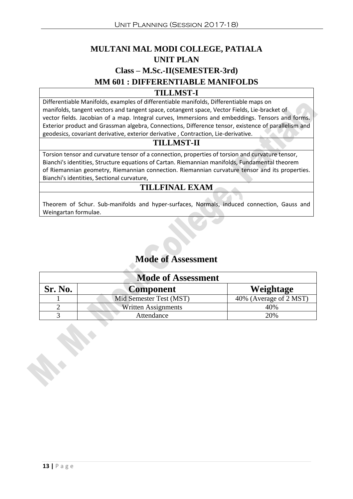# **MULTANI MAL MODI COLLEGE, PATIALA UNIT PLAN Class – M.Sc.-II(SEMESTER-3rd) MM 601 : DIFFERENTIABLE MANIFOLDS**

#### **TILLMST-I**

Differentiable Manifolds, examples of differentiable manifolds, Differentiable maps on manifolds, tangent vectors and tangent space, cotangent space, Vector Fields, Lie-bracket of vector fields. Jacobian of a map. Integral curves, Immersions and embeddings. Tensors and forms. Exterior product and Grassman algebra, Connections, Difference tensor, existence of parallelism and geodesics, covariant derivative, exterior derivative , Contraction, Lie-derivative.

#### **TILLMST-II**

Torsion tensor and curvature tensor of a connection, properties of torsion and curvature tensor, Bianchi's identities, Structure equations of Cartan. Riemannian manifolds, Fundamental theorem of Riemannian geometry, Riemannian connection. Riemannian curvature tensor and its properties. Bianchi's identities, Sectional curvature,

### **TILLFINAL EXAM**

Theorem of Schur. Sub-manifolds and hyper-surfaces, Normals, induced connection, Gauss and Weingartan formulae.

| <b>Mode of Assessment</b> |                         |                        |  |
|---------------------------|-------------------------|------------------------|--|
| Sr. No.                   | <b>Component</b>        | Weightage              |  |
|                           | Mid Semester Test (MST) | 40% (Average of 2 MST) |  |
|                           | Written Assignments     | 40%                    |  |
|                           | Attendance              | 20%                    |  |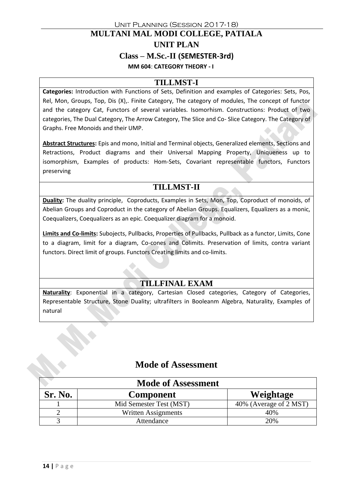# Unit Planning (Session 2017-18) **MULTANI MAL MODI COLLEGE, PATIALA UNIT PLAN Class – M.Sc.-II (SEMESTER-3rd) MM 604**: **CATEGORY THEORY - I**

#### **TILLMST-I**

**Categories:** Introduction with Functions of Sets, Definition and examples of Categories: Sets, Pos, Rel, Mon, Groups, Top, Dis (X),. Finite Category, The category of modules, The concept of functor and the category Cat, Functors of several variables. Isomorhism. Constructions: Product of two categories, The Dual Category, The Arrow Category, The Slice and Co- Slice Category. The Category of Graphs. Free Monoids and their UMP.

**Abstract Structures:** Epis and mono, Initial and Terminal objects, Generalized elements, Sections and Retractions, Product diagrams and their Universal Mapping Property, Uniqueness up to isomorphism, Examples of products: Hom-Sets, Covariant representable functors, Functors preserving

## **TILLMST-II**

**Duality:** The duality principle, Coproducts, Examples in Sets, Mon, Top, Coproduct of monoids, of Abelian Groups and Coproduct in the category of Abelian Groups. Equalizers, Equalizers as a monic, Coequalizers, Coequalizers as an epic. Coequalizer diagram for a monoid.

**Limits and Co-limits:** Subojects, Pullbacks, Properties of Pullbacks, Pullback as a functor, Limits, Cone to a diagram, limit for a diagram, Co-cones and Colimits. Preservation of limits, contra variant functors. Direct limit of groups. Functors Creating limits and co-limits.

#### **TILLFINAL EXAM**

**Naturality**: Exponential in a category, Cartesian Closed categories, Category of Categories, Representable Structure, Stone Duality; ultrafilters in Booleanm Algebra, Naturality, Examples of natural

| <b>Mode of Assessment</b> |                         |                        |  |
|---------------------------|-------------------------|------------------------|--|
| Sr. No.                   | <b>Component</b>        | Weightage              |  |
|                           | Mid Semester Test (MST) | 40% (Average of 2 MST) |  |
|                           | Written Assignments     | 40%                    |  |
|                           | Attendance              | 20%                    |  |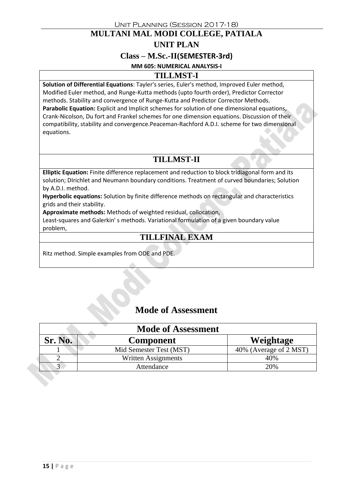# **MULTANI MAL MODI COLLEGE, PATIALA**

# **UNIT PLAN**

#### **Class – M.Sc.-II(SEMESTER-3rd)**

#### **MM 605: NUMERICAL ANALYSIS-I**

#### **TILLMST-I**

**Solution of Differential Equations**: Tayler's series, Euler's method, Improved Euler method, Modified Euler method, and Runge-Kutta methods (upto fourth order), Predictor Corrector methods. Stability and convergence of Runge-Kutta and Predictor Corrector Methods. Parabolic Equation: Explicit and Implicit schemes for solution of one dimensional equations, Crank-Nicolson, Du fort and Frankel schemes for one dimension equations. Discussion of their compatibility, stability and convergence.Peaceman-Rachford A.D.I. scheme for two dimensional equations.

# **TILLMST-II**

**Elliptic Equation:** Finite difference replacement and reduction to block tridiagonal form and its solution; DIrichlet and Neumann boundary conditions. Treatment of curved boundaries; Solution by A.D.I. method.

**Hyperbolic equations:** Solution by finite difference methods on rectangular and characteristics grids and their stability.

**Approximate methods:** Methods of weighted residual, collocation,

Least-squares and Galerkin' s methods. Variational formulation of a given boundary value problem,

#### **TILLFINAL EXAM**

Ritz method. Simple examples from ODE and PDE.

|         | <b>Mode of Assessment</b> |                        |
|---------|---------------------------|------------------------|
| Sr. No. | <b>Component</b>          | Weightage              |
|         | Mid Semester Test (MST)   | 40% (Average of 2 MST) |
|         | Written Assignments       | 40%                    |
|         | Attendance                | 20%                    |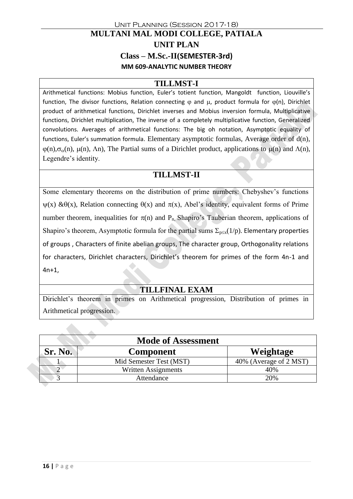# Unit Planning (Session 2017-18) **MULTANI MAL MODI COLLEGE, PATIALA UNIT PLAN Class – M.Sc.-II(SEMESTER-3rd) MM 609-ANALYTIC NUMBER THEORY**

#### **TILLMST-I**

Arithmetical functions: Mobius function, Euler's totient function, Mangoldt function, Liouville's function, The divisor functions, Relation connecting  $\varphi$  and  $\mu$ , product formula for  $\varphi(n)$ , Dirichlet product of arithmetical functions, Dirichlet inverses and Mobius inversion formula, Multiplicative functions, Dirichlet multiplication, The inverse of a completely multiplicative function, Generalized convolutions. Averages of arithmetical functions: The big oh notation, Asymptotic equality of functions, Euler's summation formula. Elementary asymptotic formulas, Average order of  $d(n)$ ,  $\varphi(n),\sigma_{\alpha}(n), \mu(n), \Lambda$ n), The Partial sums of a Dirichlet product, applications to  $\mu(n)$  and  $\Lambda(n)$ , Legendre's identity.

#### **TILLMST-II**

Some elementary theorems on the distribution of prime numbers: Chebyshev's functions  $\psi(x)$  & $\theta(x)$ , Relation connecting  $\theta(x)$  and  $\pi(x)$ , Abel's identity, equivalent forms of Prime number theorem, inequalities for  $\pi(n)$  and P<sub>n</sub>, Shapiro's Tauberian theorem, applications of Shapiro's theorem, Asymptotic formula for the partial sums  $\Sigma_{p \leq x}(1/p)$ . Elementary properties of groups , Characters of finite abelian groups, The character group, Orthogonality relations for characters, Dirichlet characters, Dirichlet's theorem for primes of the form 4n-1 and 4n+1,

#### **TILLFINAL EXAM**

Dirichlet's theorem in primes on Arithmetical progression, Distribution of primes in Arithmetical progression.

|         | <b>Mode of Assessment</b> |                        |
|---------|---------------------------|------------------------|
| Sr. No. | <b>Component</b>          | Weightage              |
|         | Mid Semester Test (MST)   | 40% (Average of 2 MST) |
|         | Written Assignments       | 40%                    |
|         | Attendance                | 20%                    |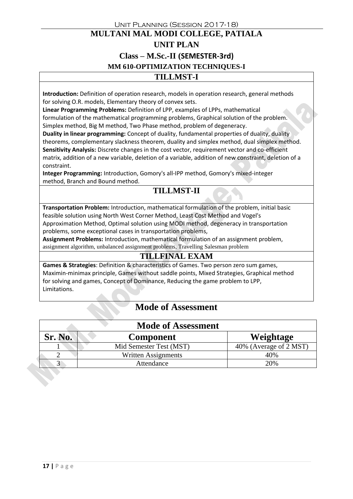Unit Planning (Session 2017-18) **MULTANI MAL MODI COLLEGE, PATIALA UNIT PLAN Class – M.Sc.-II (SEMESTER-3rd) MM 610-OPTIMIZATION TECHNIQUES-I TILLMST-I**

**Introduction:** Definition of operation research, models in operation research, general methods for solving O.R. models, Elementary theory of convex sets.

**Linear Programming Problems:** Definition of LPP, examples of LPPs, mathematical formulation of the mathematical programming problems, Graphical solution of the problem. Simplex method, Big M method, Two Phase method, problem of degeneracy.

**Duality in linear programming:** Concept of duality, fundamental properties of duality, duality theorems, complementary slackness theorem, duality and simplex method, dual simplex method. **Sensitivity Analysis:** Discrete changes in the cost vector, requirement vector and co-efficient matrix, addition of a new variable, deletion of a variable, addition of new constraint, deletion of a constraint.

**Integer Programming:** Introduction, Gomory's all-IPP method, Gomory's mixed-integer method, Branch and Bound method.

# **TILLMST-II**

**Transportation Problem:** Introduction, mathematical formulation of the problem, initial basic feasible solution using North West Corner Method, Least Cost Method and Vogel's Approximation Method, Optimal solution using MODI method, degeneracy in transportation problems, some exceptional cases in transportation problems,

**Assignment Problems:** Introduction, mathematical formulation of an assignment problem, assignment algorithm, unbalanced assignment problems, Travelling Salesman problem

#### **TILLFINAL EXAM**

**Games & Strategies**: Definition & characteristics of Games. Two person zero sum games, Maximin-minimax principle, Games without saddle points, Mixed Strategies, Graphical method for solving and games, Concept of Dominance, Reducing the game problem to LPP, Limitations.

|         | <b>Mode of Assessment</b>  |                        |
|---------|----------------------------|------------------------|
| Sr. No. | <b>Component</b>           | Weightage              |
|         | Mid Semester Test (MST)    | 40% (Average of 2 MST) |
|         | <b>Written Assignments</b> | 40%                    |
|         | Attendance                 | 20%                    |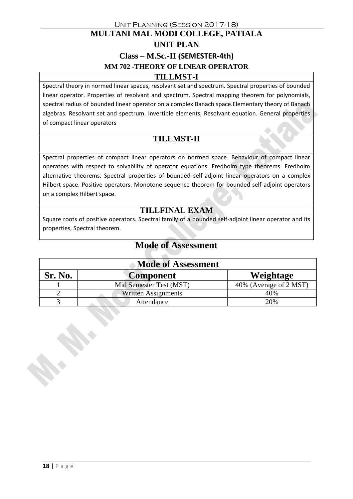# Unit Planning (Session 2017-18) **MULTANI MAL MODI COLLEGE, PATIALA UNIT PLAN Class – M.Sc.-II (SEMESTER-4th) MM 702 -THEORY OF LINEAR OPERATOR**

#### **TILLMST-I**

Spectral theory in normed linear spaces, resolvant set and spectrum. Spectral properties of bounded linear operator. Properties of resolvant and spectrum. Spectral mapping theorem for polynomials, spectral radius of bounded linear operator on a complex Banach space.Elementary theory of Banach algebras. Resolvant set and spectrum. Invertible elements, Resolvant equation. General properties of compact linear operators

# **TILLMST-II**

Spectral properties of compact linear operators on normed space. Behaviour of compact linear operators with respect to solvability of operator equations. Fredholm type theorems. Fredholm alternative theorems. Spectral properties of bounded self-adjoint linear operators on a complex Hilbert space. Positive operators. Monotone sequence theorem for bounded self-adjoint operators on a complex Hilbert space.

### **TILLFINAL EXAM**

Square roots of positive operators. Spectral family of a bounded self-adjoint linear operator and its properties, Spectral theorem.

| <b>Mode of Assessment</b> |                            |                        |
|---------------------------|----------------------------|------------------------|
| Sr. No.                   | <b>Component</b>           | Weightage              |
|                           | Mid Semester Test (MST)    | 40% (Average of 2 MST) |
|                           | <b>Written Assignments</b> | 40%                    |
|                           | Attendance                 | 20%                    |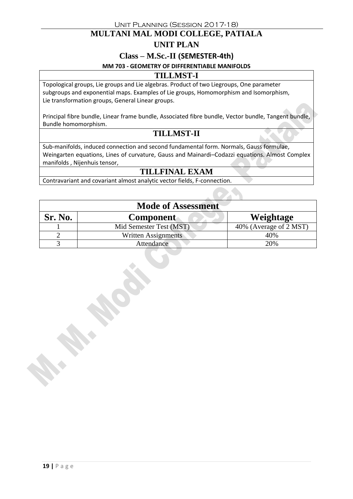## **MULTANI MAL MODI COLLEGE, PATIALA**

#### **UNIT PLAN**

#### **Class – M.Sc.-II (SEMESTER-4th)**

#### **MM 703 - GEOMETRY OF DIFFERENTIABLE MANIFOLDS**

#### **TILLMST-I**

Topological groups, Lie groups and Lie algebras. Product of two Liegroups, One parameter subgroups and exponential maps. Examples of Lie groups, Homomorphism and Isomorphism, Lie transformation groups, General Linear groups.

Principal fibre bundle, Linear frame bundle, Associated fibre bundle, Vector bundle, Tangent bundle, Bundle homomorphism.

#### **TILLMST-II**

Sub-manifolds, induced connection and second fundamental form. Normals, Gauss formulae, Weingarten equations, Lines of curvature, Gauss and Mainardi–Codazzi equations. Almost Complex manifolds , Nijenhuis tensor,

#### **TILLFINAL EXAM**

Contravariant and covariant almost analytic vector fields, F-connection.

| <b>Mode of Assessment</b> |                         |                        |
|---------------------------|-------------------------|------------------------|
| Sr. No.                   | <b>Component</b>        | Weightage              |
|                           | Mid Semester Test (MST) | 40% (Average of 2 MST) |
|                           | Written Assignments     | 40%                    |
|                           | Attendance              | 20%                    |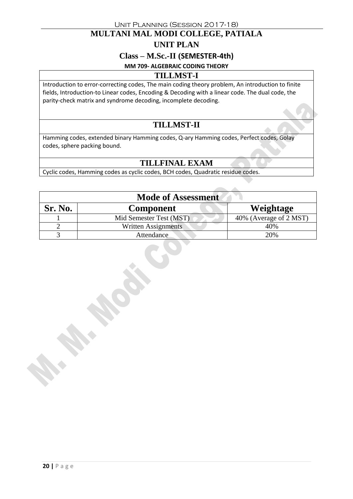## **MULTANI MAL MODI COLLEGE, PATIALA**

#### **UNIT PLAN**

**Class – M.Sc.-II (SEMESTER-4th)**

#### **MM 709- ALGEBRAIC CODING THEORY**

#### **TILLMST-I**

Introduction to error-correcting codes, The main coding theory problem, An introduction to finite fields, Introduction-to Linear codes, Encoding & Decoding with a linear code. The dual code, the parity-check matrix and syndrome decoding, incomplete decoding.

# **TILLMST-II**

Hamming codes, extended binary Hamming codes, Q-ary Hamming codes, Perfect codes, Golay codes, sphere packing bound.

### **TILLFINAL EXAM**

Cyclic codes, Hamming codes as cyclic codes, BCH codes, Quadratic residue codes.

| <b>Mode of Assessment</b> |                            |                        |
|---------------------------|----------------------------|------------------------|
| Sr. No.                   | <b>Component</b>           | Weightage              |
|                           | Mid Semester Test (MST)    | 40% (Average of 2 MST) |
|                           | <b>Written Assignments</b> | 40%                    |
|                           | Attendance                 | 20%                    |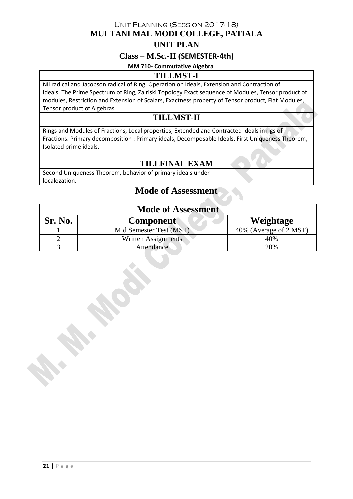### **MULTANI MAL MODI COLLEGE, PATIALA**

#### **UNIT PLAN**

**Class – M.Sc.-II (SEMESTER-4th)**

#### **MM 710- Commutative Algebra**

#### **TILLMST-I**

Nil radical and Jacobson radical of Ring, Operation on ideals, Extension and Contraction of Ideals, The Prime Spectrum of Ring, Zairiski Topology Exact sequence of Modules, Tensor product of modules, Restriction and Extension of Scalars, Exactness property of Tensor product, Flat Modules, Tensor product of Algebras.

### **TILLMST-II**

Rings and Modules of Fractions, Local properties, Extended and Contracted ideals in rigs of Fractions. Primary decomposition : Primary ideals, Decomposable Ideals, First Uniqueness Theorem, Isolated prime ideals,

### **TILLFINAL EXAM**

Second Uniqueness Theorem, behavior of primary ideals under localozation.

| <b>Mode of Assessment</b> |                         |                        |
|---------------------------|-------------------------|------------------------|
| Sr. No.                   | <b>Component</b>        | Weightage              |
|                           | Mid Semester Test (MST) | 40% (Average of 2 MST) |
|                           | Written Assignments     | 40%                    |
|                           | Attendance              | 20%                    |